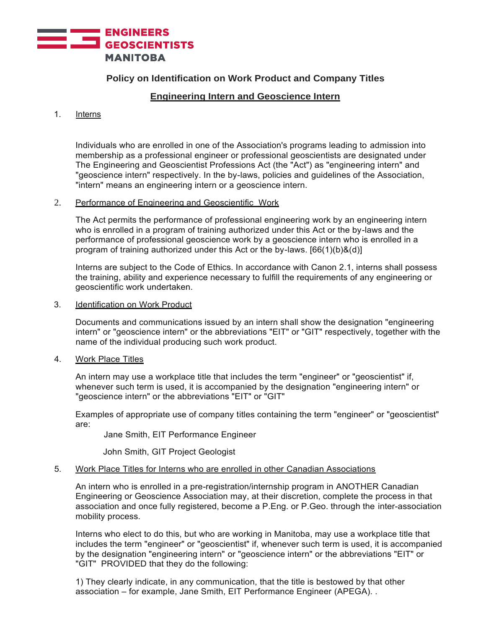

# **Policy on Identification on Work Product and Company Titles**

## **Engineering Intern and Geoscience Intern**

#### 1. Interns

Individuals who are enrolled in one of the Association's programs leading to admission into membership as a professional engineer or professional geoscientists are designated under The Engineering and Geoscientist Professions Act (the "Act") as "engineering intern" and "geoscience intern" respectively. In the by-laws, policies and guidelines of the Association, "intern" means an engineering intern or a geoscience intern.

## 2. Performance of Engineering and Geoscientific Work

The Act permits the performance of professional engineering work by an engineering intern who is enrolled in a program of training authorized under this Act or the by-laws and the performance of professional geoscience work by a geoscience intern who is enrolled in a program of training authorized under this Act or the by-laws.  $[66(1)(b)8(d)]$ 

Interns are subject to the Code of Ethics. In accordance with Canon 2.1, interns shall possess the training, ability and experience necessary to fulfill the requirements of any engineering or geoscientific work undertaken.

#### 3. Identification on Work Product

Documents and communications issued by an intern shall show the designation "engineering intern" or "geoscience intern" or the abbreviations "EIT" or "GIT" respectively, together with the name of the individual producing such work product.

#### 4. Work Place Titles

An intern may use a workplace title that includes the term "engineer" or "geoscientist" if, whenever such term is used, it is accompanied by the designation "engineering intern" or "geoscience intern" or the abbreviations "EIT" or "GIT"

Examples of appropriate use of company titles containing the term "engineer" or "geoscientist" are:

Jane Smith, EIT Performance Engineer

John Smith, GIT Project Geologist

## 5. Work Place Titles for Interns who are enrolled in other Canadian Associations

An intern who is enrolled in a pre-registration/internship program in ANOTHER Canadian Engineering or Geoscience Association may, at their discretion, complete the process in that association and once fully registered, become a P.Eng. or P.Geo. through the inter-association mobility process.

Interns who elect to do this, but who are working in Manitoba, may use a workplace title that includes the term "engineer" or "geoscientist" if, whenever such term is used, it is accompanied by the designation "engineering intern" or "geoscience intern" or the abbreviations "EIT" or "GIT" PROVIDED that they do the following:

1) They clearly indicate, in any communication, that the title is bestowed by that other association – for example, Jane Smith, EIT Performance Engineer (APEGA). .